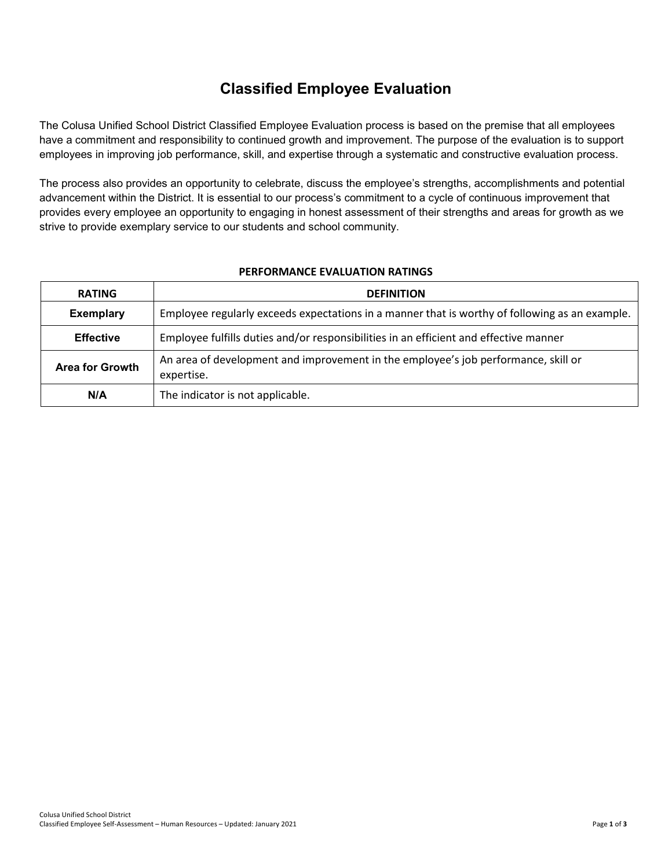## **Classified Employee Evaluation**

The Colusa Unified School District Classified Employee Evaluation process is based on the premise that all employees have a commitment and responsibility to continued growth and improvement. The purpose of the evaluation is to support employees in improving job performance, skill, and expertise through a systematic and constructive evaluation process.

The process also provides an opportunity to celebrate, discuss the employee's strengths, accomplishments and potential advancement within the District. It is essential to our process's commitment to a cycle of continuous improvement that provides every employee an opportunity to engaging in honest assessment of their strengths and areas for growth as we strive to provide exemplary service to our students and school community.

| <b>PERFORMANCE EVALUATION RATINGS</b> |
|---------------------------------------|
|---------------------------------------|

| <b>RATING</b>                                                                                             | <b>DEFINITION</b>                                                                                |  |  |  |  |
|-----------------------------------------------------------------------------------------------------------|--------------------------------------------------------------------------------------------------|--|--|--|--|
| <b>Exemplary</b>                                                                                          | Employee regularly exceeds expectations in a manner that is worthy of following as an example.   |  |  |  |  |
| Employee fulfills duties and/or responsibilities in an efficient and effective manner<br><b>Effective</b> |                                                                                                  |  |  |  |  |
| <b>Area for Growth</b>                                                                                    | An area of development and improvement in the employee's job performance, skill or<br>expertise. |  |  |  |  |
| N/A                                                                                                       | The indicator is not applicable.                                                                 |  |  |  |  |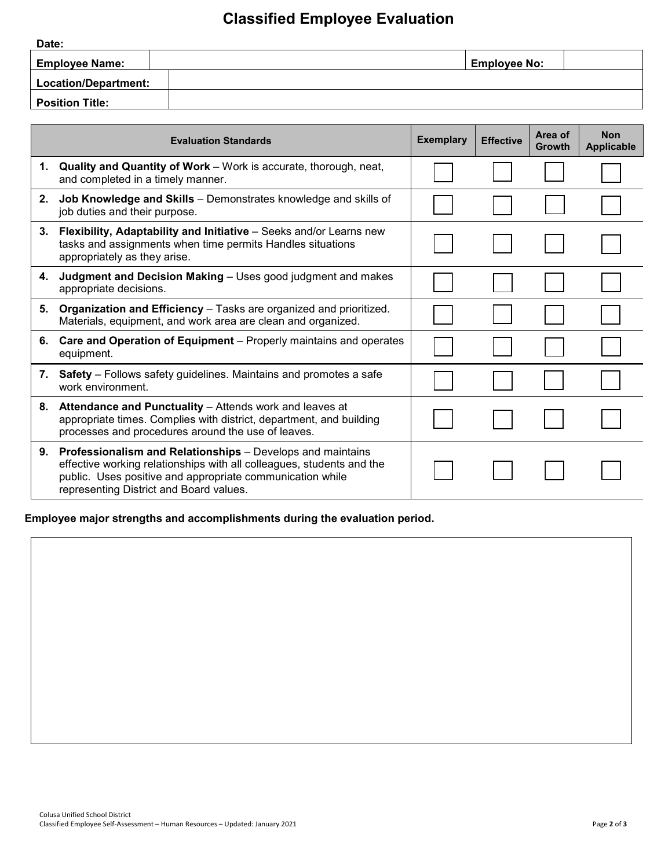## **Classified Employee Evaluation**

| Date:                  |                     |
|------------------------|---------------------|
| <b>Employee Name:</b>  | <b>Employee No:</b> |
| Location/Department:   |                     |
| <b>Position Title:</b> |                     |

|    | <b>Evaluation Standards</b>                                                                                                                                                                                                                 | <b>Exemplary</b> | <b>Effective</b> | Area of<br><b>Growth</b> | <b>Non</b><br><b>Applicable</b> |
|----|---------------------------------------------------------------------------------------------------------------------------------------------------------------------------------------------------------------------------------------------|------------------|------------------|--------------------------|---------------------------------|
| 1. | <b>Quality and Quantity of Work</b> – Work is accurate, thorough, neat,<br>and completed in a timely manner.                                                                                                                                |                  |                  |                          |                                 |
| 2. | Job Knowledge and Skills - Demonstrates knowledge and skills of<br>job duties and their purpose.                                                                                                                                            |                  |                  |                          |                                 |
| 3. | Flexibility, Adaptability and Initiative - Seeks and/or Learns new<br>tasks and assignments when time permits Handles situations<br>appropriately as they arise.                                                                            |                  |                  |                          |                                 |
| 4. | Judgment and Decision Making - Uses good judgment and makes<br>appropriate decisions.                                                                                                                                                       |                  |                  |                          |                                 |
| 5. | Organization and Efficiency - Tasks are organized and prioritized.<br>Materials, equipment, and work area are clean and organized.                                                                                                          |                  |                  |                          |                                 |
| 6. | Care and Operation of Equipment - Properly maintains and operates<br>equipment.                                                                                                                                                             |                  |                  |                          |                                 |
| 7. | <b>Safety</b> – Follows safety guidelines. Maintains and promotes a safe<br>work environment.                                                                                                                                               |                  |                  |                          |                                 |
| 8. | Attendance and Punctuality - Attends work and leaves at<br>appropriate times. Complies with district, department, and building<br>processes and procedures around the use of leaves.                                                        |                  |                  |                          |                                 |
| 9. | Professionalism and Relationships - Develops and maintains<br>effective working relationships with all colleagues, students and the<br>public. Uses positive and appropriate communication while<br>representing District and Board values. |                  |                  |                          |                                 |

**Employee major strengths and accomplishments during the evaluation period.**